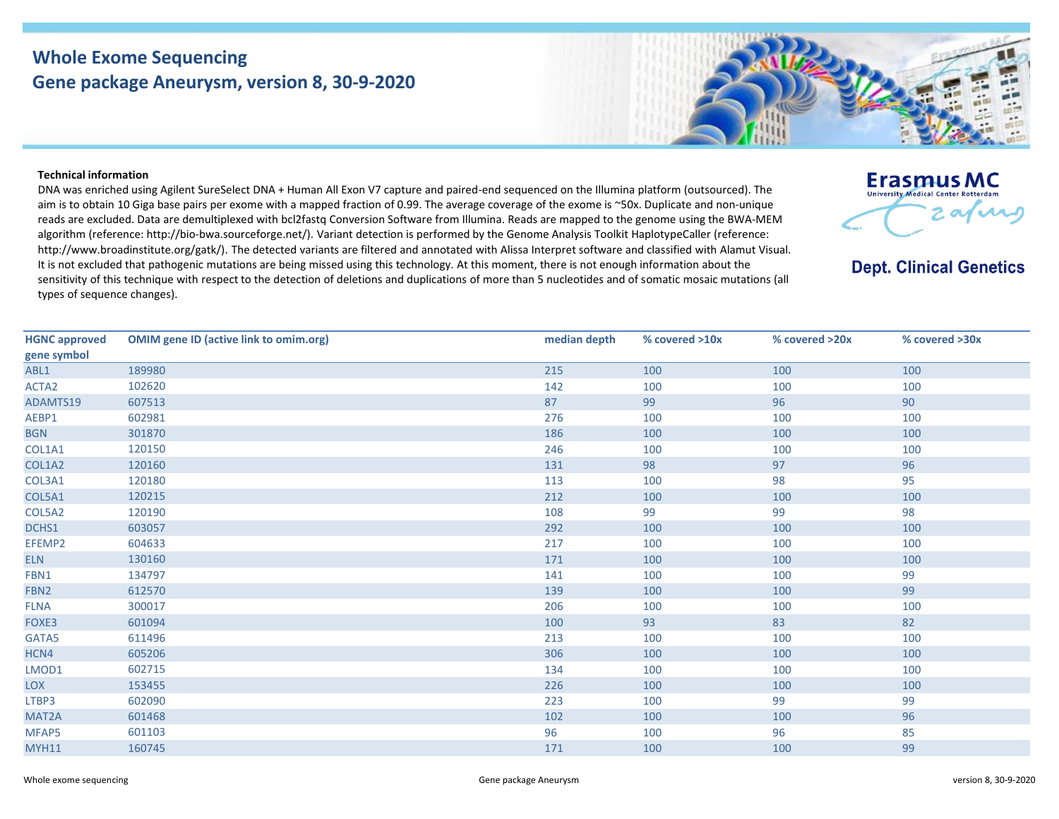## **Whole Exome Sequencing Gene package Aneurysm, version 8, 30-9-2020**



DNA was enriched using Agilent SureSelect DNA + Human All Exon V7 capture and paired-end sequenced on the Illumina platform (outsourced). The aim is to obtain 10 Giga base pairs per exome with a mapped fraction of 0.99. The average coverage of the exome is ~50x. Duplicate and non-unique reads are excluded. Data are demultiplexed with bcl2fastq Conversion Software from Illumina. Reads are mapped to the genome using the BWA-MEM algorithm (reference: http://bio‐bwa.sourceforge.net/). Variant detection is performed by the Genome Analysis Toolkit HaplotypeCaller (reference: http://www.broadinstitute.org/gatk/). The detected variants are filtered and annotated with Alissa Interpret software and classified with Alamut Visual. It is not excluded that pathogenic mutations are being missed using this technology. At this moment, there is not enough information about the sensitivity of this technique with respect to the detection of deletions and duplications of more than 5 nucleotides and of somatic mosaic mutations (all types of sequence changes).



**Dept. Clinical Genetics** 

| <b>HGNC approved</b> | <b>OMIM gene ID (active link to omim.org)</b> | median depth | % covered >10x | % covered >20x | % covered >30x |
|----------------------|-----------------------------------------------|--------------|----------------|----------------|----------------|
| gene symbol          |                                               |              |                |                |                |
| ABL1                 | 189980                                        | 215          | 100            | 100            | 100            |
| ACTA2                | 102620                                        | 142          | 100            | 100            | 100            |
| ADAMTS19             | 607513                                        | 87           | 99             | 96             | 90             |
| AEBP1                | 602981                                        | 276          | 100            | 100            | 100            |
| <b>BGN</b>           | 301870                                        | 186          | 100            | 100            | 100            |
| COL1A1               | 120150                                        | 246          | 100            | 100            | 100            |
| COL1A2               | 120160                                        | 131          | 98             | 97             | 96             |
| COL3A1               | 120180                                        | 113          | 100            | 98             | 95             |
| COL5A1               | 120215                                        | 212          | 100            | 100            | 100            |
| COL5A2               | 120190                                        | 108          | 99             | 99             | 98             |
| DCHS1                | 603057                                        | 292          | 100            | 100            | 100            |
| EFEMP2               | 604633                                        | 217          | 100            | 100            | 100            |
| <b>ELN</b>           | 130160                                        | 171          | 100            | 100            | 100            |
| FBN1                 | 134797                                        | 141          | 100            | 100            | 99             |
| FBN <sub>2</sub>     | 612570                                        | 139          | 100            | 100            | 99             |
| <b>FLNA</b>          | 300017                                        | 206          | 100            | 100            | 100            |
| FOXE3                | 601094                                        | 100          | 93             | 83             | 82             |
| GATA5                | 611496                                        | 213          | 100            | 100            | 100            |
| HCN4                 | 605206                                        | 306          | 100            | 100            | 100            |
| LMOD1                | 602715                                        | 134          | 100            | 100            | 100            |
| LOX                  | 153455                                        | 226          | 100            | 100            | 100            |
| LTBP3                | 602090                                        | 223          | 100            | 99             | 99             |
| MAT2A                | 601468                                        | 102          | 100            | 100            | 96             |
| MFAP5                | 601103                                        | 96           | 100            | 96             | 85             |
| <b>MYH11</b>         | 160745                                        | 171          | 100            | 100            | 99             |